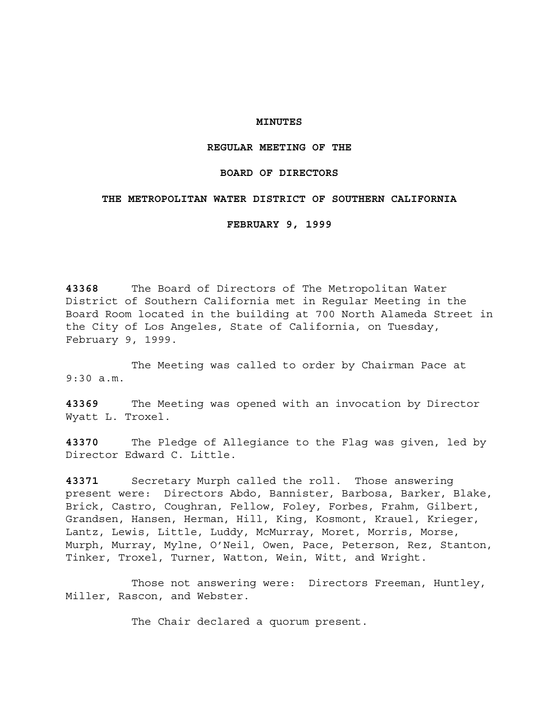# **MINUTES**

# **REGULAR MEETING OF THE**

# **BOARD OF DIRECTORS**

# **THE METROPOLITAN WATER DISTRICT OF SOUTHERN CALIFORNIA**

# **FEBRUARY 9, 1999**

**43368** The Board of Directors of The Metropolitan Water District of Southern California met in Regular Meeting in the Board Room located in the building at 700 North Alameda Street in the City of Los Angeles, State of California, on Tuesday, February 9, 1999.

The Meeting was called to order by Chairman Pace at 9:30 a.m.

**43369** The Meeting was opened with an invocation by Director Wyatt L. Troxel.

**43370** The Pledge of Allegiance to the Flag was given, led by Director Edward C. Little.

**43371** Secretary Murph called the roll. Those answering present were: Directors Abdo, Bannister, Barbosa, Barker, Blake, Brick, Castro, Coughran, Fellow, Foley, Forbes, Frahm, Gilbert, Grandsen, Hansen, Herman, Hill, King, Kosmont, Krauel, Krieger, Lantz, Lewis, Little, Luddy, McMurray, Moret, Morris, Morse, Murph, Murray, Mylne, O'Neil, Owen, Pace, Peterson, Rez, Stanton, Tinker, Troxel, Turner, Watton, Wein, Witt, and Wright.

Those not answering were: Directors Freeman, Huntley, Miller, Rascon, and Webster.

The Chair declared a quorum present.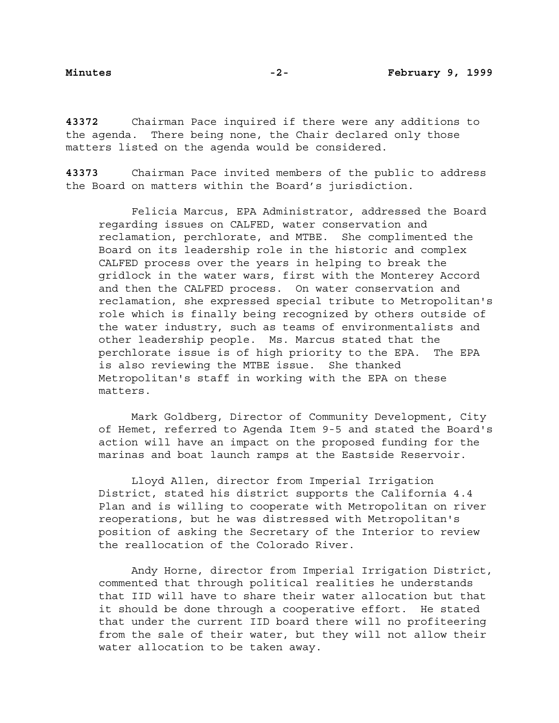**43372** Chairman Pace inquired if there were any additions to the agenda. There being none, the Chair declared only those matters listed on the agenda would be considered.

**43373** Chairman Pace invited members of the public to address the Board on matters within the Board's jurisdiction.

Felicia Marcus, EPA Administrator, addressed the Board regarding issues on CALFED, water conservation and reclamation, perchlorate, and MTBE. She complimented the Board on its leadership role in the historic and complex CALFED process over the years in helping to break the gridlock in the water wars, first with the Monterey Accord and then the CALFED process. On water conservation and reclamation, she expressed special tribute to Metropolitan's role which is finally being recognized by others outside of the water industry, such as teams of environmentalists and other leadership people. Ms. Marcus stated that the perchlorate issue is of high priority to the EPA. The EPA is also reviewing the MTBE issue. She thanked Metropolitan's staff in working with the EPA on these matters.

Mark Goldberg, Director of Community Development, City of Hemet, referred to Agenda Item 9-5 and stated the Board's action will have an impact on the proposed funding for the marinas and boat launch ramps at the Eastside Reservoir.

Lloyd Allen, director from Imperial Irrigation District, stated his district supports the California 4.4 Plan and is willing to cooperate with Metropolitan on river reoperations, but he was distressed with Metropolitan's position of asking the Secretary of the Interior to review the reallocation of the Colorado River.

Andy Horne, director from Imperial Irrigation District, commented that through political realities he understands that IID will have to share their water allocation but that it should be done through a cooperative effort. He stated that under the current IID board there will no profiteering from the sale of their water, but they will not allow their water allocation to be taken away.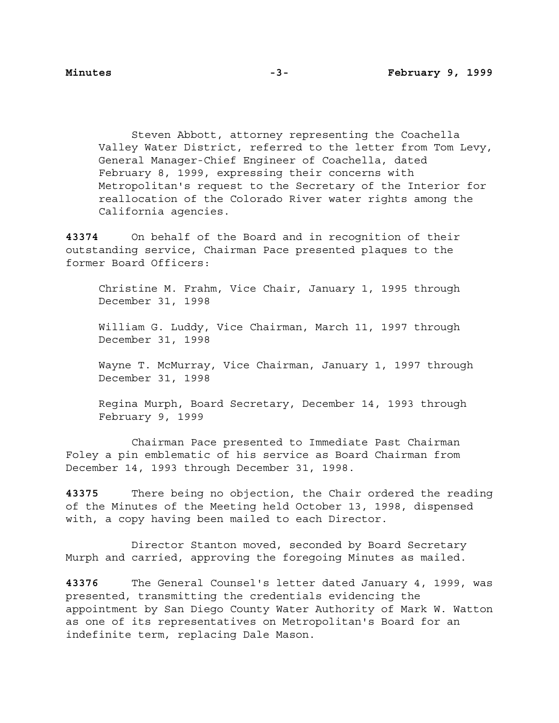Steven Abbott, attorney representing the Coachella Valley Water District, referred to the letter from Tom Levy, General Manager-Chief Engineer of Coachella, dated February 8, 1999, expressing their concerns with Metropolitan's request to the Secretary of the Interior for reallocation of the Colorado River water rights among the California agencies.

**43374** On behalf of the Board and in recognition of their outstanding service, Chairman Pace presented plaques to the former Board Officers:

Christine M. Frahm, Vice Chair, January 1, 1995 through December 31, 1998

William G. Luddy, Vice Chairman, March 11, 1997 through December 31, 1998

Wayne T. McMurray, Vice Chairman, January 1, 1997 through December 31, 1998

Regina Murph, Board Secretary, December 14, 1993 through February 9, 1999

Chairman Pace presented to Immediate Past Chairman Foley a pin emblematic of his service as Board Chairman from December 14, 1993 through December 31, 1998.

**43375** There being no objection, the Chair ordered the reading of the Minutes of the Meeting held October 13, 1998, dispensed with, a copy having been mailed to each Director.

Director Stanton moved, seconded by Board Secretary Murph and carried, approving the foregoing Minutes as mailed.

**43376** The General Counsel's letter dated January 4, 1999, was presented, transmitting the credentials evidencing the appointment by San Diego County Water Authority of Mark W. Watton as one of its representatives on Metropolitan's Board for an indefinite term, replacing Dale Mason.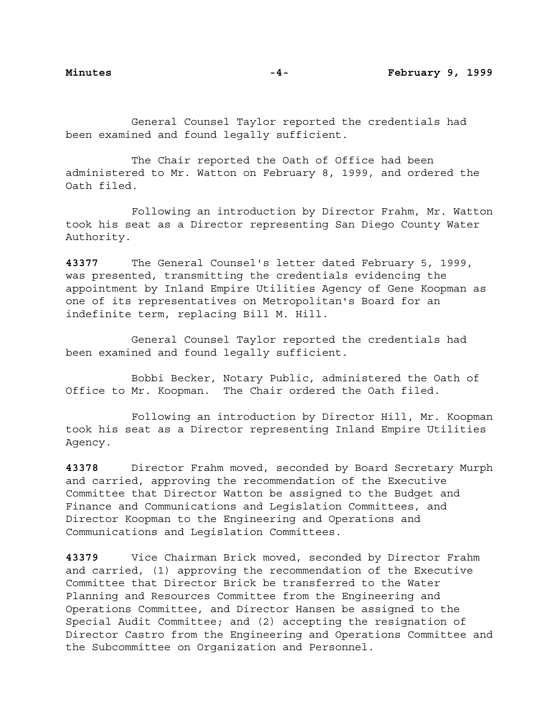General Counsel Taylor reported the credentials had been examined and found legally sufficient.

The Chair reported the Oath of Office had been administered to Mr. Watton on February 8, 1999, and ordered the Oath filed.

Following an introduction by Director Frahm, Mr. Watton took his seat as a Director representing San Diego County Water Authority.

**43377** The General Counsel's letter dated February 5, 1999, was presented, transmitting the credentials evidencing the appointment by Inland Empire Utilities Agency of Gene Koopman as one of its representatives on Metropolitan's Board for an indefinite term, replacing Bill M. Hill.

General Counsel Taylor reported the credentials had been examined and found legally sufficient.

Bobbi Becker, Notary Public, administered the Oath of Office to Mr. Koopman. The Chair ordered the Oath filed.

Following an introduction by Director Hill, Mr. Koopman took his seat as a Director representing Inland Empire Utilities Agency.

**43378** Director Frahm moved, seconded by Board Secretary Murph and carried, approving the recommendation of the Executive Committee that Director Watton be assigned to the Budget and Finance and Communications and Legislation Committees, and Director Koopman to the Engineering and Operations and Communications and Legislation Committees.

**43379** Vice Chairman Brick moved, seconded by Director Frahm and carried, (1) approving the recommendation of the Executive Committee that Director Brick be transferred to the Water Planning and Resources Committee from the Engineering and Operations Committee, and Director Hansen be assigned to the Special Audit Committee; and (2) accepting the resignation of Director Castro from the Engineering and Operations Committee and the Subcommittee on Organization and Personnel.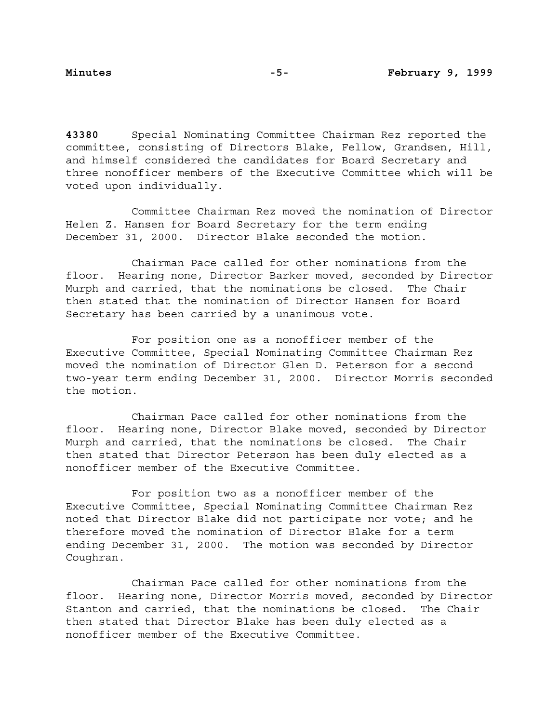**43380** Special Nominating Committee Chairman Rez reported the committee, consisting of Directors Blake, Fellow, Grandsen, Hill, and himself considered the candidates for Board Secretary and three nonofficer members of the Executive Committee which will be voted upon individually.

Committee Chairman Rez moved the nomination of Director Helen Z. Hansen for Board Secretary for the term ending December 31, 2000. Director Blake seconded the motion.

Chairman Pace called for other nominations from the floor. Hearing none, Director Barker moved, seconded by Director Murph and carried, that the nominations be closed. The Chair then stated that the nomination of Director Hansen for Board Secretary has been carried by a unanimous vote.

For position one as a nonofficer member of the Executive Committee, Special Nominating Committee Chairman Rez moved the nomination of Director Glen D. Peterson for a second two-year term ending December 31, 2000. Director Morris seconded the motion.

Chairman Pace called for other nominations from the floor. Hearing none, Director Blake moved, seconded by Director Murph and carried, that the nominations be closed. The Chair then stated that Director Peterson has been duly elected as a nonofficer member of the Executive Committee.

For position two as a nonofficer member of the Executive Committee, Special Nominating Committee Chairman Rez noted that Director Blake did not participate nor vote; and he therefore moved the nomination of Director Blake for a term ending December 31, 2000. The motion was seconded by Director Coughran.

Chairman Pace called for other nominations from the floor. Hearing none, Director Morris moved, seconded by Director Stanton and carried, that the nominations be closed. The Chair then stated that Director Blake has been duly elected as a nonofficer member of the Executive Committee.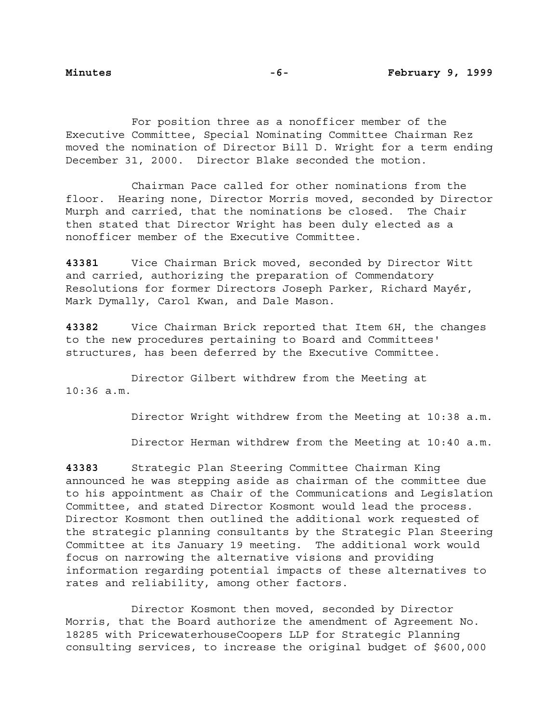For position three as a nonofficer member of the Executive Committee, Special Nominating Committee Chairman Rez moved the nomination of Director Bill D. Wright for a term ending December 31, 2000. Director Blake seconded the motion.

Chairman Pace called for other nominations from the floor. Hearing none, Director Morris moved, seconded by Director Murph and carried, that the nominations be closed. The Chair then stated that Director Wright has been duly elected as a nonofficer member of the Executive Committee.

**43381** Vice Chairman Brick moved, seconded by Director Witt and carried, authorizing the preparation of Commendatory Resolutions for former Directors Joseph Parker, Richard Mayér, Mark Dymally, Carol Kwan, and Dale Mason.

**43382** Vice Chairman Brick reported that Item 6H, the changes to the new procedures pertaining to Board and Committees' structures, has been deferred by the Executive Committee.

Director Gilbert withdrew from the Meeting at 10:36 a.m.

Director Wright withdrew from the Meeting at 10:38 a.m.

Director Herman withdrew from the Meeting at 10:40 a.m.

**43383** Strategic Plan Steering Committee Chairman King announced he was stepping aside as chairman of the committee due to his appointment as Chair of the Communications and Legislation Committee, and stated Director Kosmont would lead the process. Director Kosmont then outlined the additional work requested of the strategic planning consultants by the Strategic Plan Steering Committee at its January 19 meeting. The additional work would focus on narrowing the alternative visions and providing information regarding potential impacts of these alternatives to rates and reliability, among other factors.

Director Kosmont then moved, seconded by Director Morris, that the Board authorize the amendment of Agreement No. 18285 with PricewaterhouseCoopers LLP for Strategic Planning consulting services, to increase the original budget of \$600,000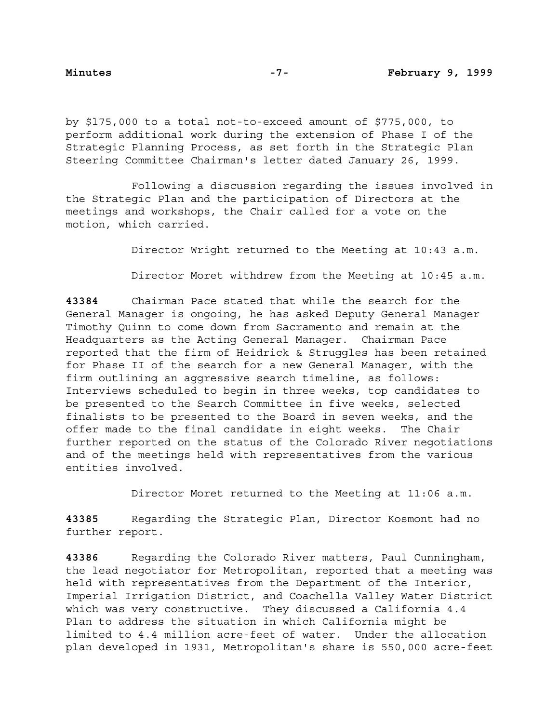by \$l75,000 to a total not-to-exceed amount of \$775,000, to perform additional work during the extension of Phase I of the Strategic Planning Process, as set forth in the Strategic Plan Steering Committee Chairman's letter dated January 26, 1999.

Following a discussion regarding the issues involved in the Strategic Plan and the participation of Directors at the meetings and workshops, the Chair called for a vote on the motion, which carried.

Director Wright returned to the Meeting at 10:43 a.m.

Director Moret withdrew from the Meeting at 10:45 a.m.

**43384** Chairman Pace stated that while the search for the General Manager is ongoing, he has asked Deputy General Manager Timothy Quinn to come down from Sacramento and remain at the Headquarters as the Acting General Manager. Chairman Pace reported that the firm of Heidrick & Struggles has been retained for Phase II of the search for a new General Manager, with the firm outlining an aggressive search timeline, as follows: Interviews scheduled to begin in three weeks, top candidates to be presented to the Search Committee in five weeks, selected finalists to be presented to the Board in seven weeks, and the offer made to the final candidate in eight weeks. The Chair further reported on the status of the Colorado River negotiations and of the meetings held with representatives from the various entities involved.

Director Moret returned to the Meeting at 11:06 a.m.

**43385** Regarding the Strategic Plan, Director Kosmont had no further report.

**43386** Regarding the Colorado River matters, Paul Cunningham, the lead negotiator for Metropolitan, reported that a meeting was held with representatives from the Department of the Interior, Imperial Irrigation District, and Coachella Valley Water District which was very constructive. They discussed a California 4.4 Plan to address the situation in which California might be limited to 4.4 million acre-feet of water. Under the allocation plan developed in 1931, Metropolitan's share is 550,000 acre-feet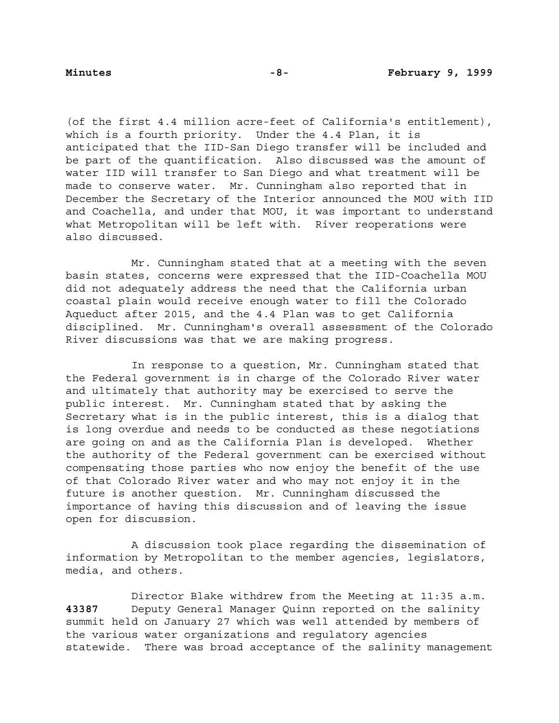(of the first 4.4 million acre-feet of California's entitlement), which is a fourth priority. Under the 4.4 Plan, it is anticipated that the IID-San Diego transfer will be included and be part of the quantification. Also discussed was the amount of water IID will transfer to San Diego and what treatment will be made to conserve water. Mr. Cunningham also reported that in December the Secretary of the Interior announced the MOU with IID and Coachella, and under that MOU, it was important to understand what Metropolitan will be left with. River reoperations were also discussed.

Mr. Cunningham stated that at a meeting with the seven basin states, concerns were expressed that the IID-Coachella MOU did not adequately address the need that the California urban coastal plain would receive enough water to fill the Colorado Aqueduct after 2015, and the 4.4 Plan was to get California disciplined. Mr. Cunningham's overall assessment of the Colorado River discussions was that we are making progress.

In response to a question, Mr. Cunningham stated that the Federal government is in charge of the Colorado River water and ultimately that authority may be exercised to serve the public interest. Mr. Cunningham stated that by asking the Secretary what is in the public interest, this is a dialog that is long overdue and needs to be conducted as these negotiations are going on and as the California Plan is developed. Whether the authority of the Federal government can be exercised without compensating those parties who now enjoy the benefit of the use of that Colorado River water and who may not enjoy it in the future is another question. Mr. Cunningham discussed the importance of having this discussion and of leaving the issue open for discussion.

A discussion took place regarding the dissemination of information by Metropolitan to the member agencies, legislators, media, and others.

Director Blake withdrew from the Meeting at 11:35 a.m. **43387** Deputy General Manager Quinn reported on the salinity summit held on January 27 which was well attended by members of the various water organizations and regulatory agencies statewide. There was broad acceptance of the salinity management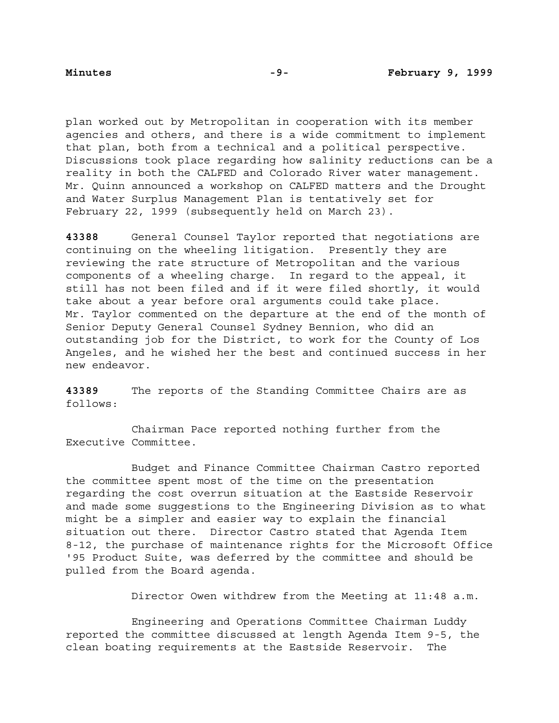plan worked out by Metropolitan in cooperation with its member agencies and others, and there is a wide commitment to implement that plan, both from a technical and a political perspective. Discussions took place regarding how salinity reductions can be a reality in both the CALFED and Colorado River water management. Mr. Quinn announced a workshop on CALFED matters and the Drought and Water Surplus Management Plan is tentatively set for February 22, 1999 (subsequently held on March 23).

**43388** General Counsel Taylor reported that negotiations are continuing on the wheeling litigation. Presently they are reviewing the rate structure of Metropolitan and the various components of a wheeling charge. In regard to the appeal, it still has not been filed and if it were filed shortly, it would take about a year before oral arguments could take place. Mr. Taylor commented on the departure at the end of the month of Senior Deputy General Counsel Sydney Bennion, who did an outstanding job for the District, to work for the County of Los Angeles, and he wished her the best and continued success in her new endeavor.

**43389** The reports of the Standing Committee Chairs are as follows:

Chairman Pace reported nothing further from the Executive Committee.

Budget and Finance Committee Chairman Castro reported the committee spent most of the time on the presentation regarding the cost overrun situation at the Eastside Reservoir and made some suggestions to the Engineering Division as to what might be a simpler and easier way to explain the financial situation out there. Director Castro stated that Agenda Item 8-12, the purchase of maintenance rights for the Microsoft Office '95 Product Suite, was deferred by the committee and should be pulled from the Board agenda.

Director Owen withdrew from the Meeting at 11:48 a.m.

Engineering and Operations Committee Chairman Luddy reported the committee discussed at length Agenda Item 9-5, the clean boating requirements at the Eastside Reservoir. The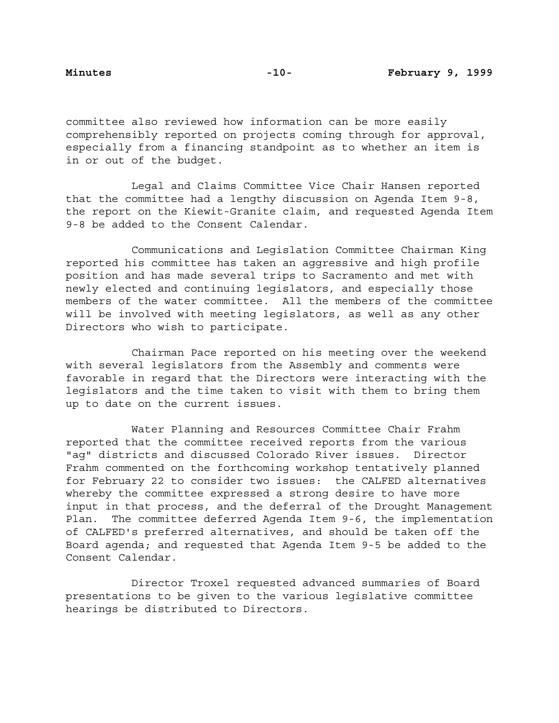committee also reviewed how information can be more easily comprehensibly reported on projects coming through for approval, especially from a financing standpoint as to whether an item is in or out of the budget.

Legal and Claims Committee Vice Chair Hansen reported that the committee had a lengthy discussion on Agenda Item 9-8, the report on the Kiewit-Granite claim, and requested Agenda Item 9-8 be added to the Consent Calendar.

Communications and Legislation Committee Chairman King reported his committee has taken an aggressive and high profile position and has made several trips to Sacramento and met with newly elected and continuing legislators, and especially those members of the water committee. All the members of the committee will be involved with meeting legislators, as well as any other Directors who wish to participate.

Chairman Pace reported on his meeting over the weekend with several legislators from the Assembly and comments were favorable in regard that the Directors were interacting with the legislators and the time taken to visit with them to bring them up to date on the current issues.

Water Planning and Resources Committee Chair Frahm reported that the committee received reports from the various "ag" districts and discussed Colorado River issues. Director Frahm commented on the forthcoming workshop tentatively planned for February 22 to consider two issues: the CALFED alternatives whereby the committee expressed a strong desire to have more input in that process, and the deferral of the Drought Management Plan. The committee deferred Agenda Item 9-6, the implementation of CALFED's preferred alternatives, and should be taken off the Board agenda; and requested that Agenda Item 9-5 be added to the Consent Calendar.

Director Troxel requested advanced summaries of Board presentations to be given to the various legislative committee hearings be distributed to Directors.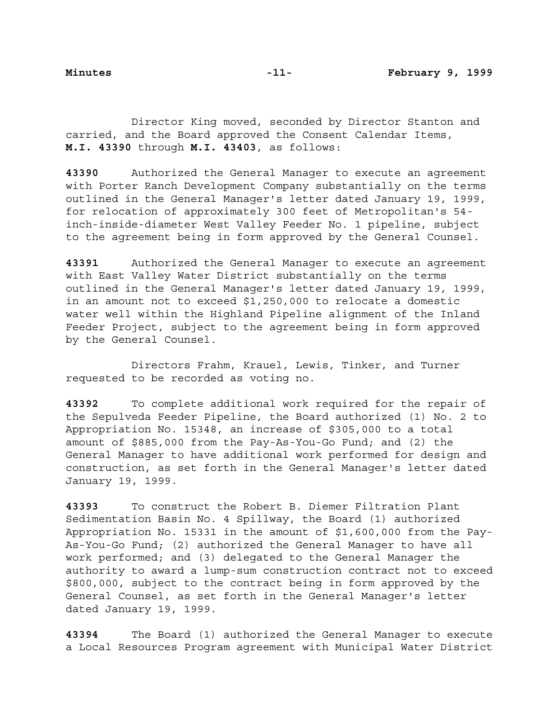Director King moved, seconded by Director Stanton and carried, and the Board approved the Consent Calendar Items, **M.I. 43390** through **M.I. 43403**, as follows:

**43390** Authorized the General Manager to execute an agreement with Porter Ranch Development Company substantially on the terms outlined in the General Manager's letter dated January 19, 1999, for relocation of approximately 300 feet of Metropolitan's 54 inch-inside-diameter West Valley Feeder No. 1 pipeline, subject to the agreement being in form approved by the General Counsel.

**43391** Authorized the General Manager to execute an agreement with East Valley Water District substantially on the terms outlined in the General Manager's letter dated January 19, 1999, in an amount not to exceed \$1,250,000 to relocate a domestic water well within the Highland Pipeline alignment of the Inland Feeder Project, subject to the agreement being in form approved by the General Counsel.

Directors Frahm, Krauel, Lewis, Tinker, and Turner requested to be recorded as voting no.

**43392** To complete additional work required for the repair of the Sepulveda Feeder Pipeline, the Board authorized (1) No. 2 to Appropriation No. 15348, an increase of \$305,000 to a total amount of \$885,000 from the Pay-As-You-Go Fund; and (2) the General Manager to have additional work performed for design and construction, as set forth in the General Manager's letter dated January 19, 1999.

**43393** To construct the Robert B. Diemer Filtration Plant Sedimentation Basin No. 4 Spillway, the Board (1) authorized Appropriation No. 15331 in the amount of \$1,600,000 from the Pay-As-You-Go Fund; (2) authorized the General Manager to have all work performed; and (3) delegated to the General Manager the authority to award a lump-sum construction contract not to exceed \$800,000, subject to the contract being in form approved by the General Counsel, as set forth in the General Manager's letter dated January 19, 1999.

**43394** The Board (1) authorized the General Manager to execute a Local Resources Program agreement with Municipal Water District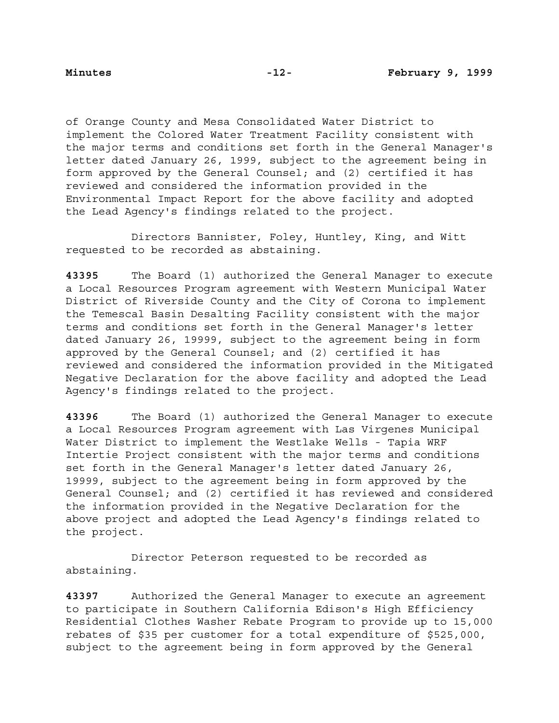of Orange County and Mesa Consolidated Water District to implement the Colored Water Treatment Facility consistent with the major terms and conditions set forth in the General Manager's letter dated January 26, 1999, subject to the agreement being in form approved by the General Counsel; and (2) certified it has reviewed and considered the information provided in the Environmental Impact Report for the above facility and adopted the Lead Agency's findings related to the project.

Directors Bannister, Foley, Huntley, King, and Witt requested to be recorded as abstaining.

**43395** The Board (1) authorized the General Manager to execute a Local Resources Program agreement with Western Municipal Water District of Riverside County and the City of Corona to implement the Temescal Basin Desalting Facility consistent with the major terms and conditions set forth in the General Manager's letter dated January 26, 19999, subject to the agreement being in form approved by the General Counsel; and (2) certified it has reviewed and considered the information provided in the Mitigated Negative Declaration for the above facility and adopted the Lead Agency's findings related to the project.

**43396** The Board (1) authorized the General Manager to execute a Local Resources Program agreement with Las Virgenes Municipal Water District to implement the Westlake Wells - Tapia WRF Intertie Project consistent with the major terms and conditions set forth in the General Manager's letter dated January 26, 19999, subject to the agreement being in form approved by the General Counsel; and (2) certified it has reviewed and considered the information provided in the Negative Declaration for the above project and adopted the Lead Agency's findings related to the project.

Director Peterson requested to be recorded as abstaining.

**43397** Authorized the General Manager to execute an agreement to participate in Southern California Edison's High Efficiency Residential Clothes Washer Rebate Program to provide up to 15,000 rebates of \$35 per customer for a total expenditure of \$525,000, subject to the agreement being in form approved by the General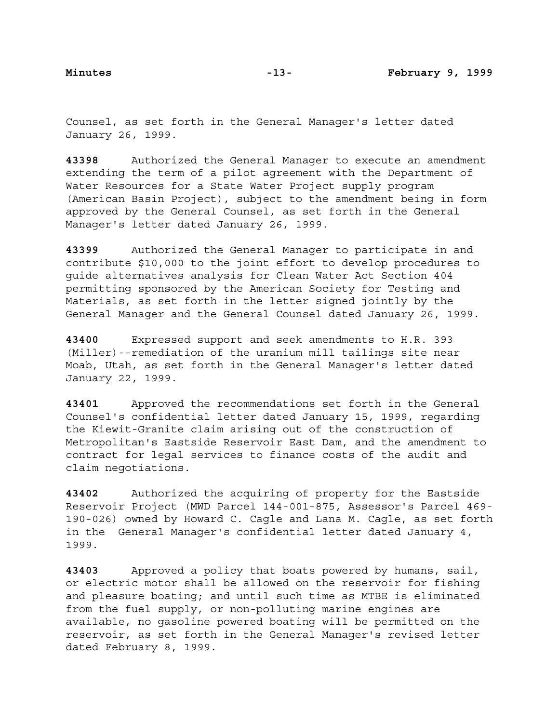Counsel, as set forth in the General Manager's letter dated January 26, 1999.

**43398** Authorized the General Manager to execute an amendment extending the term of a pilot agreement with the Department of Water Resources for a State Water Project supply program (American Basin Project), subject to the amendment being in form approved by the General Counsel, as set forth in the General Manager's letter dated January 26, 1999.

**43399** Authorized the General Manager to participate in and contribute \$10,000 to the joint effort to develop procedures to guide alternatives analysis for Clean Water Act Section 404 permitting sponsored by the American Society for Testing and Materials, as set forth in the letter signed jointly by the General Manager and the General Counsel dated January 26, 1999.

**43400** Expressed support and seek amendments to H.R. 393 (Miller)--remediation of the uranium mill tailings site near Moab, Utah, as set forth in the General Manager's letter dated January 22, 1999.

**43401** Approved the recommendations set forth in the General Counsel's confidential letter dated January 15, 1999, regarding the Kiewit-Granite claim arising out of the construction of Metropolitan's Eastside Reservoir East Dam, and the amendment to contract for legal services to finance costs of the audit and claim negotiations.

**43402** Authorized the acquiring of property for the Eastside Reservoir Project (MWD Parcel 144-001-875, Assessor's Parcel 469- 190-026) owned by Howard C. Cagle and Lana M. Cagle, as set forth in the General Manager's confidential letter dated January 4, 1999.

**43403** Approved a policy that boats powered by humans, sail, or electric motor shall be allowed on the reservoir for fishing and pleasure boating; and until such time as MTBE is eliminated from the fuel supply, or non-polluting marine engines are available, no gasoline powered boating will be permitted on the reservoir, as set forth in the General Manager's revised letter dated February 8, 1999.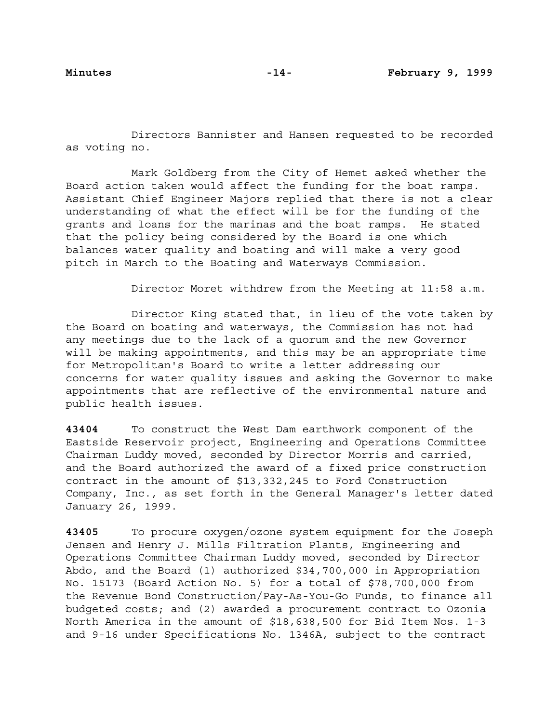Directors Bannister and Hansen requested to be recorded as voting no.

Mark Goldberg from the City of Hemet asked whether the Board action taken would affect the funding for the boat ramps. Assistant Chief Engineer Majors replied that there is not a clear understanding of what the effect will be for the funding of the grants and loans for the marinas and the boat ramps. He stated that the policy being considered by the Board is one which balances water quality and boating and will make a very good pitch in March to the Boating and Waterways Commission.

Director Moret withdrew from the Meeting at 11:58 a.m.

Director King stated that, in lieu of the vote taken by the Board on boating and waterways, the Commission has not had any meetings due to the lack of a quorum and the new Governor will be making appointments, and this may be an appropriate time for Metropolitan's Board to write a letter addressing our concerns for water quality issues and asking the Governor to make appointments that are reflective of the environmental nature and public health issues.

**43404** To construct the West Dam earthwork component of the Eastside Reservoir project, Engineering and Operations Committee Chairman Luddy moved, seconded by Director Morris and carried, and the Board authorized the award of a fixed price construction contract in the amount of \$13,332,245 to Ford Construction Company, Inc., as set forth in the General Manager's letter dated January 26, 1999.

**43405** To procure oxygen/ozone system equipment for the Joseph Jensen and Henry J. Mills Filtration Plants, Engineering and Operations Committee Chairman Luddy moved, seconded by Director Abdo, and the Board (1) authorized \$34,700,000 in Appropriation No. 15173 (Board Action No. 5) for a total of \$78,700,000 from the Revenue Bond Construction/Pay-As-You-Go Funds, to finance all budgeted costs; and (2) awarded a procurement contract to Ozonia North America in the amount of \$18,638,500 for Bid Item Nos. 1-3 and 9-16 under Specifications No. 1346A, subject to the contract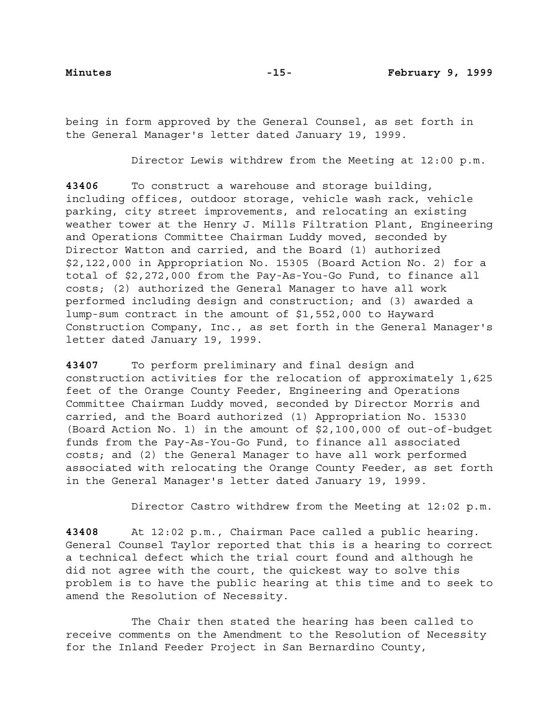being in form approved by the General Counsel, as set forth in the General Manager's letter dated January 19, 1999.

Director Lewis withdrew from the Meeting at 12:00 p.m.

**43406** To construct a warehouse and storage building, including offices, outdoor storage, vehicle wash rack, vehicle parking, city street improvements, and relocating an existing weather tower at the Henry J. Mills Filtration Plant, Engineering and Operations Committee Chairman Luddy moved, seconded by Director Watton and carried, and the Board (1) authorized \$2,122,000 in Appropriation No. 15305 (Board Action No. 2) for a total of \$2,272,000 from the Pay-As-You-Go Fund, to finance all costs; (2) authorized the General Manager to have all work performed including design and construction; and (3) awarded a lump-sum contract in the amount of \$1,552,000 to Hayward Construction Company, Inc., as set forth in the General Manager's letter dated January 19, 1999.

**43407** To perform preliminary and final design and construction activities for the relocation of approximately 1,625 feet of the Orange County Feeder, Engineering and Operations Committee Chairman Luddy moved, seconded by Director Morris and carried, and the Board authorized (1) Appropriation No. 15330 (Board Action No. 1) in the amount of \$2,100,000 of out-of-budget funds from the Pay-As-You-Go Fund, to finance all associated costs; and (2) the General Manager to have all work performed associated with relocating the Orange County Feeder, as set forth in the General Manager's letter dated January 19, 1999.

Director Castro withdrew from the Meeting at 12:02 p.m.

**43408** At 12:02 p.m., Chairman Pace called a public hearing. General Counsel Taylor reported that this is a hearing to correct a technical defect which the trial court found and although he did not agree with the court, the quickest way to solve this problem is to have the public hearing at this time and to seek to amend the Resolution of Necessity.

The Chair then stated the hearing has been called to receive comments on the Amendment to the Resolution of Necessity for the Inland Feeder Project in San Bernardino County,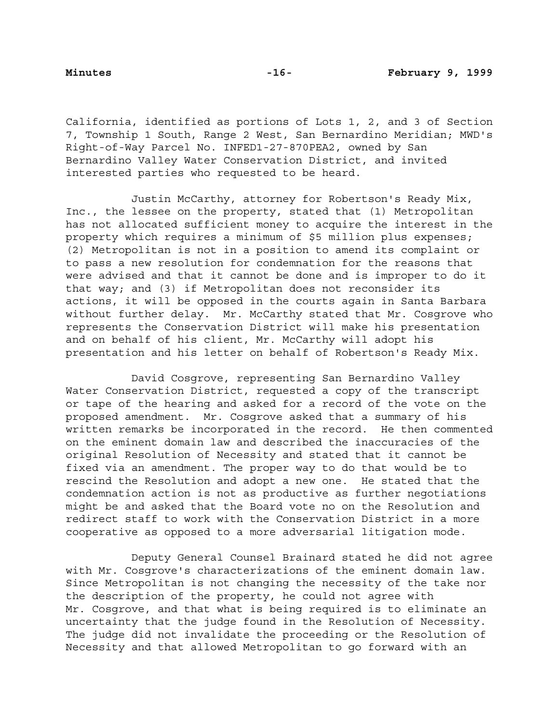California, identified as portions of Lots 1, 2, and 3 of Section 7, Township 1 South, Range 2 West, San Bernardino Meridian; MWD's Right-of-Way Parcel No. INFED1-27-870PEA2, owned by San Bernardino Valley Water Conservation District, and invited interested parties who requested to be heard.

Justin McCarthy, attorney for Robertson's Ready Mix, Inc., the lessee on the property, stated that (1) Metropolitan has not allocated sufficient money to acquire the interest in the property which requires a minimum of \$5 million plus expenses; (2) Metropolitan is not in a position to amend its complaint or to pass a new resolution for condemnation for the reasons that were advised and that it cannot be done and is improper to do it that way; and (3) if Metropolitan does not reconsider its actions, it will be opposed in the courts again in Santa Barbara without further delay. Mr. McCarthy stated that Mr. Cosgrove who represents the Conservation District will make his presentation and on behalf of his client, Mr. McCarthy will adopt his presentation and his letter on behalf of Robertson's Ready Mix.

David Cosgrove, representing San Bernardino Valley Water Conservation District, requested a copy of the transcript or tape of the hearing and asked for a record of the vote on the proposed amendment. Mr. Cosgrove asked that a summary of his written remarks be incorporated in the record. He then commented on the eminent domain law and described the inaccuracies of the original Resolution of Necessity and stated that it cannot be fixed via an amendment. The proper way to do that would be to rescind the Resolution and adopt a new one. He stated that the condemnation action is not as productive as further negotiations might be and asked that the Board vote no on the Resolution and redirect staff to work with the Conservation District in a more cooperative as opposed to a more adversarial litigation mode.

Deputy General Counsel Brainard stated he did not agree with Mr. Cosgrove's characterizations of the eminent domain law. Since Metropolitan is not changing the necessity of the take nor the description of the property, he could not agree with Mr. Cosgrove, and that what is being required is to eliminate an uncertainty that the judge found in the Resolution of Necessity. The judge did not invalidate the proceeding or the Resolution of Necessity and that allowed Metropolitan to go forward with an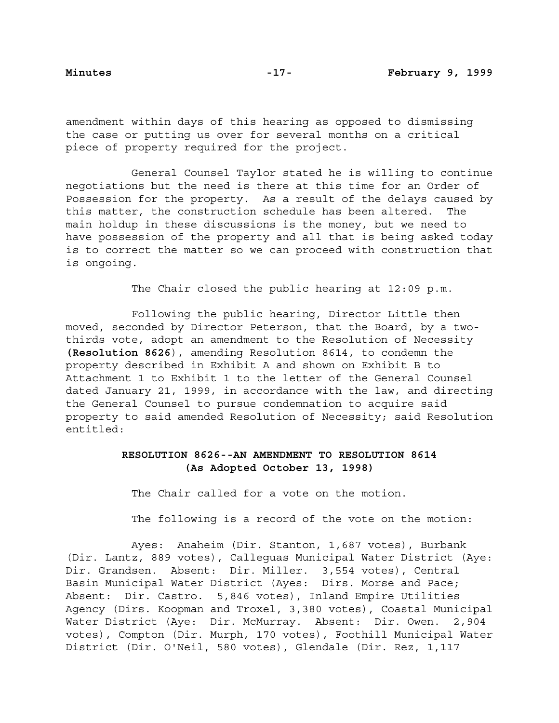amendment within days of this hearing as opposed to dismissing the case or putting us over for several months on a critical piece of property required for the project.

General Counsel Taylor stated he is willing to continue negotiations but the need is there at this time for an Order of Possession for the property. As a result of the delays caused by this matter, the construction schedule has been altered. The main holdup in these discussions is the money, but we need to have possession of the property and all that is being asked today is to correct the matter so we can proceed with construction that is ongoing.

The Chair closed the public hearing at 12:09 p.m.

Following the public hearing, Director Little then moved, seconded by Director Peterson, that the Board, by a twothirds vote, adopt an amendment to the Resolution of Necessity **(Resolution 8626**), amending Resolution 8614, to condemn the property described in Exhibit A and shown on Exhibit B to Attachment 1 to Exhibit 1 to the letter of the General Counsel dated January 21, 1999, in accordance with the law, and directing the General Counsel to pursue condemnation to acquire said property to said amended Resolution of Necessity; said Resolution entitled:

# **RESOLUTION 8626--AN AMENDMENT TO RESOLUTION 8614 (As Adopted October 13, 1998)**

The Chair called for a vote on the motion.

The following is a record of the vote on the motion:

Ayes: Anaheim (Dir. Stanton, 1,687 votes), Burbank (Dir. Lantz, 889 votes), Calleguas Municipal Water District (Aye: Dir. Grandsen. Absent: Dir. Miller. 3,554 votes), Central Basin Municipal Water District (Ayes: Dirs. Morse and Pace; Absent: Dir. Castro. 5,846 votes), Inland Empire Utilities Agency (Dirs. Koopman and Troxel, 3,380 votes), Coastal Municipal Water District (Aye: Dir. McMurray. Absent: Dir. Owen. 2,904 votes), Compton (Dir. Murph, 170 votes), Foothill Municipal Water District (Dir. O'Neil, 580 votes), Glendale (Dir. Rez, 1,117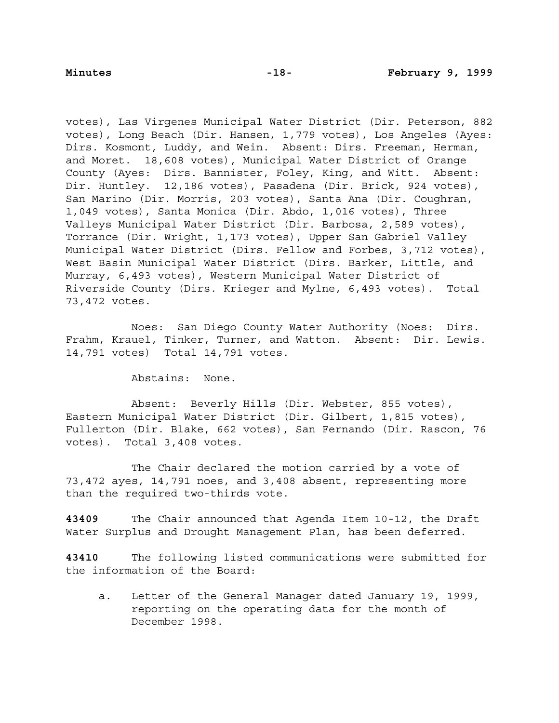votes), Las Virgenes Municipal Water District (Dir. Peterson, 882 votes), Long Beach (Dir. Hansen, 1,779 votes), Los Angeles (Ayes: Dirs. Kosmont, Luddy, and Wein. Absent: Dirs. Freeman, Herman, and Moret. 18,608 votes), Municipal Water District of Orange County (Ayes: Dirs. Bannister, Foley, King, and Witt. Absent: Dir. Huntley. 12,186 votes), Pasadena (Dir. Brick, 924 votes), San Marino (Dir. Morris, 203 votes), Santa Ana (Dir. Coughran, 1,049 votes), Santa Monica (Dir. Abdo, 1,016 votes), Three Valleys Municipal Water District (Dir. Barbosa, 2,589 votes), Torrance (Dir. Wright, 1,173 votes), Upper San Gabriel Valley Municipal Water District (Dirs. Fellow and Forbes, 3,712 votes), West Basin Municipal Water District (Dirs. Barker, Little, and Murray, 6,493 votes), Western Municipal Water District of Riverside County (Dirs. Krieger and Mylne, 6,493 votes). Total 73,472 votes.

Noes: San Diego County Water Authority (Noes: Dirs. Frahm, Krauel, Tinker, Turner, and Watton. Absent: Dir. Lewis. 14,791 votes) Total 14,791 votes.

Abstains: None.

Absent: Beverly Hills (Dir. Webster, 855 votes), Eastern Municipal Water District (Dir. Gilbert, 1,815 votes), Fullerton (Dir. Blake, 662 votes), San Fernando (Dir. Rascon, 76 votes). Total 3,408 votes.

The Chair declared the motion carried by a vote of 73,472 ayes, 14,791 noes, and 3,408 absent, representing more than the required two-thirds vote.

**43409** The Chair announced that Agenda Item 10-12, the Draft Water Surplus and Drought Management Plan, has been deferred.

**43410** The following listed communications were submitted for the information of the Board:

a. Letter of the General Manager dated January 19, 1999, reporting on the operating data for the month of December 1998.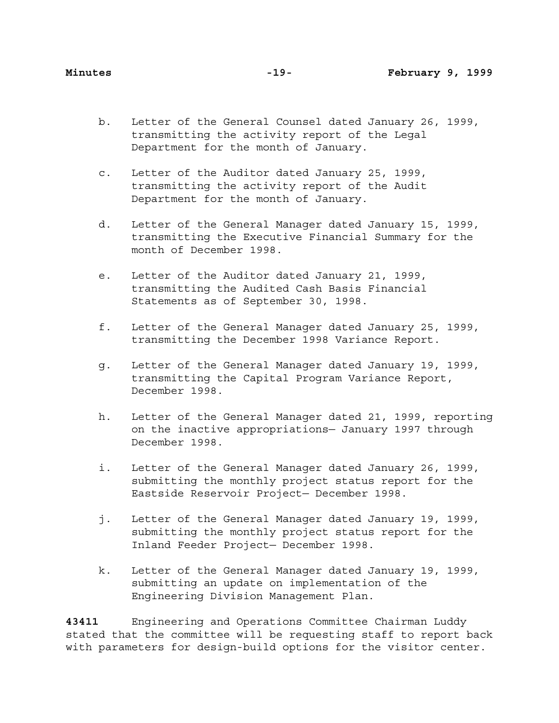- b. Letter of the General Counsel dated January 26, 1999, transmitting the activity report of the Legal Department for the month of January.
- c. Letter of the Auditor dated January 25, 1999, transmitting the activity report of the Audit Department for the month of January.
- d. Letter of the General Manager dated January 15, 1999, transmitting the Executive Financial Summary for the month of December 1998.
- e. Letter of the Auditor dated January 21, 1999, transmitting the Audited Cash Basis Financial Statements as of September 30, 1998.
- f. Letter of the General Manager dated January 25, 1999, transmitting the December 1998 Variance Report.
- g. Letter of the General Manager dated January 19, 1999, transmitting the Capital Program Variance Report, December 1998.
- h. Letter of the General Manager dated 21, 1999, reporting on the inactive appropriations— January 1997 through December 1998.
- i. Letter of the General Manager dated January 26, 1999, submitting the monthly project status report for the Eastside Reservoir Project— December 1998.
- j. Letter of the General Manager dated January 19, 1999, submitting the monthly project status report for the Inland Feeder Project— December 1998.
- k. Letter of the General Manager dated January 19, 1999, submitting an update on implementation of the Engineering Division Management Plan.

**43411** Engineering and Operations Committee Chairman Luddy stated that the committee will be requesting staff to report back with parameters for design-build options for the visitor center.